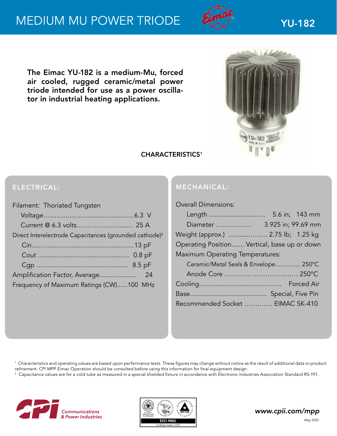

The Eimac YU-182 is a medium-Mu, forced air cooled, rugged ceramic/metal power triode intended for use as a power oscillator in industrial heating applications.



## CHARACTERISTICS1

# ELECTRICAL:

| Filament: Thoriated Tungsten                                       |  |
|--------------------------------------------------------------------|--|
|                                                                    |  |
|                                                                    |  |
| Direct Interelectrode Capacitances (grounded cathode) <sup>2</sup> |  |
|                                                                    |  |
|                                                                    |  |
|                                                                    |  |
|                                                                    |  |
| Frequency of Maximum Ratings (CW)100 MHz                           |  |
|                                                                    |  |

# MECHANICAL:

| <b>Overall Dimensions:</b>                   |  |                |  |  |  |  |  |
|----------------------------------------------|--|----------------|--|--|--|--|--|
| Length                                       |  | 5.6 in; 143 mm |  |  |  |  |  |
|                                              |  |                |  |  |  |  |  |
| Weight (approx.)  2.75 lb; 1.25 kg           |  |                |  |  |  |  |  |
| Operating Position Vertical, base up or down |  |                |  |  |  |  |  |
| <b>Maximum Operating Temperatures:</b>       |  |                |  |  |  |  |  |
| Ceramic/Metal Seals & Envelope 250°C         |  |                |  |  |  |  |  |
|                                              |  |                |  |  |  |  |  |
|                                              |  |                |  |  |  |  |  |
|                                              |  |                |  |  |  |  |  |
| Recommended Socket  EIMAC SK-410             |  |                |  |  |  |  |  |

 $^{\rm 1}$  Characteristics and operating values are based upon performance tests. These figures may change without notice as the result of additional data or product refinement. CPI MPP Eimac Operation should be consulted before using this information for final equipment design.

 $^{\rm 2}$  Capacitance values are for a cold tube as measured in a special shielded fixture in accordance with Electronic Industries Association Standard RS-191.





*www.cpii.com/mpp*

May 2020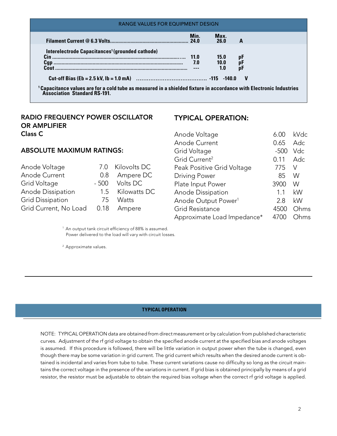| <b>RANGE VALUES FOR EQUIPMENT DESIGN</b>                                                                                                                                                                                                             |              |                     |                     |  |  |  |
|------------------------------------------------------------------------------------------------------------------------------------------------------------------------------------------------------------------------------------------------------|--------------|---------------------|---------------------|--|--|--|
|                                                                                                                                                                                                                                                      | Min.<br>24.0 | Max.<br>26.0        | A                   |  |  |  |
| Interelectrode Capacitances <sup>1</sup> (grounded cathode)<br>Cin.<br>Cgp<br>Cout<br><sup>1</sup> Capacitance values are for a cold tube as measured in a shielded fixture in accordance with Electronic Industries<br>Association Standard RS-191. | 11.0<br>7.0  | 15.0<br>10.0<br>1.0 | pF<br>pF<br>рF<br>v |  |  |  |

#### RADIO FREQUENCY POWER OSCILLATOR OR AMPLIFIER Class C

## TYPICAL OPERATION:

Anode Voltage 6.00 kVdc

Grid Resistance 4500 Ohms Approximate Load Impedance\* 4700 Ohms

0.65 Adc -500 Vdc 0.11 Adc

|              | Anode Current                   | 0.65   | Ad <sub>'</sub> |
|--------------|---------------------------------|--------|-----------------|
| <b>JGS:</b>  | Grid Voltage                    | $-500$ | Vd              |
|              | Grid Current <sup>2</sup>       | 0.11   | Ad              |
| Kilovolts DC | Peak Positive Grid Voltage      | 775    |                 |
| Ampere DC    | <b>Driving Power</b>            | 85     | W               |
| Volts DC     | Plate Input Power               | 3900   | W               |
| Kilowatts DC | Anode Dissipation               | 11     | kW              |
| Watts        | Anode Output Power <sup>1</sup> | 28     | kW              |

ABSOLUTE MAXIMUM RATINGS:

| Anode Voltage           | 7.0 Kilovolts DC |
|-------------------------|------------------|
| Anode Current           | 0.8 Ampere DC    |
| Grid Voltage            | - 500 Volts DC   |
| Anode Dissipation       | 1.5 Kilowatts DC |
| <b>Grid Dissipation</b> | 75 Watts         |
| Grid Current, No Load   | 0.18 Ampere      |
|                         |                  |

#### <sup>1</sup> An output tank circuit efficiency of 88% is assumed. Power delivered to the load will vary with circuit losses.

2 Approximate values.

#### **TYPICAL OPERATION**

NOTE: TYPICAL OPERATION data are obtained from direct measurement or by calculation from published characteristic curves. Adjustment of the rf grid voltage to obtain the specified anode current at the specified bias and anode voltages is assumed. If this procedure is followed, there will be little variation in output power when the tube is changed, even though there may be some variation in grid current. The grid current which results when the desired anode current is obtained is incidental and varies from tube to tube. These current variations cause no difficulty so long as the circuit maintains the correct voltage in the presence of the variations in current. If grid bias is obtained principally by means of a grid resistor, the resistor must be adjustable to obtain the required bias voltage when the correct rf grid voltage is applied.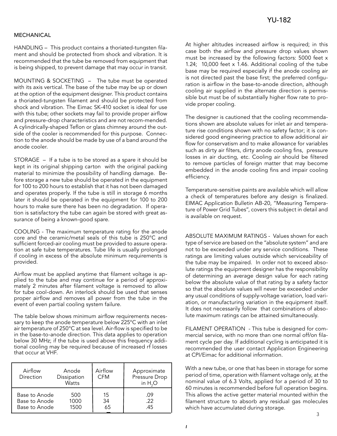#### MECHANICAL

HANDLING – This product contains a thoriated-tungsten filament and should be protected from shock and vibration. It is recommended that the tube be removed from equipment that is being shipped, to prevent damage that may occur in transit.

MOUNTING & SOCKETING – The tube must be operated with its axis vertical. The base of the tube may be up or down at the option of the equipment designer. This product contains a thoriated-tungsten filament and should be protected from shock and vibration. The Eimac SK-410 socket is ideal for use with this tube; other sockets may fail to provide proper airflow and pressure-drop characteristics and are not recom-mended. A cylindrically-shaped Teflon or glass chimney around the outside of the cooler is recommended for this purpose. Connection to the anode should be made by use of a band around the anode cooler.

STORAGE – If a tube is to be stored as a spare it should be kept in its original shipping carton with the original packing material to minimize the possibility of handling damage. Before storage a new tube should be operated in the equipment for 100 to 200 hours to establish that it has not been damaged and operates properly. If the tube is still in storage 6 months later it should be operated in the equipment for 100 to 200 hours to make sure there has been no degradation. If operation is satisfactory the tube can again be stored with great assurance of being a known-good spare.

COOLING - The maximum temperature rating for the anode core and the ceramic/metal seals of this tube is 250°C and sufficient forced-air cooling must be provided to assure operation at safe tube temperatures. Tube life is usually prolonged if cooling in excess of the absolute minimum requirements is provided.

Airflow must be applied anytime that filament voltage is applied to the tube and may continue for a period of approximately 2 minutes after filament voltage is removed to allow for tube cool-down. An interlock should be used that senses proper airflow and removes all power from the tube in the event of even partial cooling system failure.

The table below shows minimum airflow requirements necessary to keep the anode temperature below 225°C with an inlet air temperature of 250°C at sea level. Air-flow is specified to be in the base-to-anode direction. This data applies to operation below 30 MHz; if the tube is used above this frequency additional cooling may be required because of increased rf losses that occur at VHF.

| Airflow<br>Direction | Anode<br>Dissipation<br><b>Watts</b> | Airflow<br><b>CFM</b> | Approximate<br>Pressure Drop<br>in $H2O$ |
|----------------------|--------------------------------------|-----------------------|------------------------------------------|
| Base to Anode        | 500                                  | 15                    | .09                                      |
| Base to Anode        | 1000                                 | 34                    | .22                                      |
| Base to Anode        | 1500                                 | 65                    | .45                                      |

At higher altitudes increased airflow is required; in this case both the airflow and pressure drop values shown must be increased by the following factors: 5000 feet x 1.24; 10,000 feet x 1.46. Additional cooling of the tube base may be required especially if the anode cooling air is not directed past the base first; the preferred configuration is airflow in the base-to-anode direction, although cooling air supplied in the alternate direction is permissible but must be of substantially higher flow rate to provide proper cooling.

The designer is cautioned that the cooling recommendations shown are absolute values for inlet air and temperature rise conditions shown with no safety factor; it is considered good engineering practice to allow additional air flow for conservatism and to make allowance for variables such as dirty air filters, dirty anode cooling fins, pressure losses in air ducting, etc. Cooling air should be filtered to remove particles of foreign matter that may become embedded in the anode cooling fins and impair cooling efficiency.

Temperature-sensitive paints are available which will allow a check of temperatures before any design is finalized. EIMAC Application Bulletin AB-20, "Measuring Temperature of Power Grid Tubes", covers this subject in detail and is available on request.

ABSOLUTE MAXIMUM RATINGS - Values shown for each type of service are based on the "absolute system" and are not to be exceeded under any service conditions. These ratings are limiting values outside which serviceability of the tube may be impaired. In order not to exceed absolute ratings the equipment designer has the responsibility of determining an average design value for each rating below the absolute value of that rating by a safety factor so that the absolute values will never be exceeded under any usual conditions of supply-voltage variation, load variation, or manufacturing variation in the equipment itself. It dœs not necessarily follow that combinations of absolute maximum ratings can be attained simultaneously.

FILAMENT OPERATION - This tube is designed for commercial service, with no more than one normal off/on filament cycle per day. If additional cycling is anticipated it is recommended the user contact Application Engineering at CPI/Eimac for additional information.

With a new tube, or one that has been in storage for some period of time, operation with filament voltage only, at the nominal value of 6.3 Volts, applied for a period of 30 to 60 minutes is recommended before full operation begins. This allows the active getter material mounted within the filament structure to absorb any residual gas molecules which have accumulated during storage.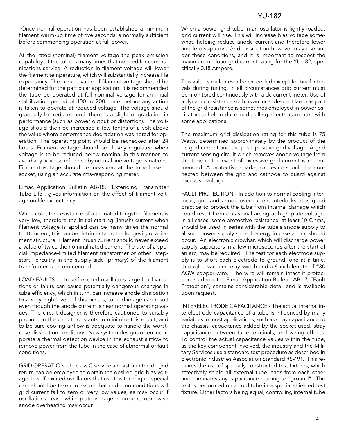#### YU-182

 Once normal operation has been established a minimum filament warm-up time of five seconds is normally sufficient before commencing operation at full power.

At the rated (nominal) filament voltage the peak emission capability of the tube is many times that needed for communications service. A reduction in filament voltage will lower the filament temperature, which will substantially increase life expectancy. The correct value of filament voltage should be determined for the particular application. It is recommended the tube be operated at full nominal voltage for an initial stabilization period of 100 to 200 hours before any action is taken to operate at reduced voltage. The voltage should gradually be reduced until there is a slight degradation in performance (such as power output or distortion). The voltage should then be increased a few tenths of a volt above the value where performance degradation was noted for operation. The operating point should be rechecked after 24 hours. Filament voltage should be closely regulated when voltage is to be reduced below nominal in this manner, to avoid any adverse influence by normal line voltage variations. Filament voltage should be measured at the tube base or socket, using an accurate rms-responding meter.

Eimac Application Bulletin AB-18, "Extending Transmitter Tube Life", gives information on the effect of filament voltage on life expectancy.

When cold, the resistance of a thoriated tungsten filament is very low, therefore the initial starting (inrush) current when filament voltage is applied can be many times the normal (hot) current; this can be detrimental to the longevity of a filament structure. Filament inrush current should never exceed a value of twice the nominal rated current. The use of a special impedance-limited filament transformer or other "stepstart" circuitry in the supply side (primary) of the filament transformer is recommended.

LOAD FAULTS - In self-excited oscillators large load variations or faults can cause potentially dangerous changes in tube efficiency, which in turn, can increase anode dissipation to a very high level. If this occurs, tube damage can result even though the anode current is near normal operating values. The circuit designer is therefore cautioned to suitably proportion the circuit constants to minimize this effect, and to be sure cooling airflow is adequate to handle the worstcase dissipation conditions. New system designs often incorporate a thermal detection device in the exhaust airflow to remove power from the tube in the case of abnormal or fault conditions.

GRID OPERATION – In class C service a resistor in the dc grid return can be employed to obtain the desired grid bias voltage. In self-excited oscillators that use this technique, special care should be taken to assure that under no conditions will grid current fall to zero or very low values, as may occur if oscillations cease while plate voltage is present, otherwise anode overheating may occur.

When a power grid tube in an oscillator is lightly loaded, grid current will rise. This will increase bias voltage somewhat, helping reduce anode current and therefore lower anode dissipation. Grid dissipation however may rise under these conditions, and it is important to respect the maximum no-load grid current rating for the YU-182, specifically 0.18 Ampere.

This value should never be exceeded except for brief intervals during tuning. In all circumstances grid current must be monitored continuously with a dc current meter. Use of a dynamic resistance such as an incandescent lamp as part of the grid resistance is sometimes employed in power oscillators to help reduce load-pulling effects associated with some applications.

The maximum grid dissipation rating for this tube is 75 Watts, determined approximately by the product of the dc grid current and the peak positive grid voltage. A grid current sensing circuit which removes anode voltage from the tube in the event of excessive grid current is recommended. A protective spark-gap device should be connected between the grid and cathode to guard against excessive voltage.

FAULT PROTECTION - In addition to normal cooling interlocks, grid and anode over-current interlocks, it is good practice to protect the tube from internal damage which could result from occasional arcing at high plate voltage. In all cases, some protective resistance, at least 10 Ohms, should be used in series with the tube's anode supply to absorb power supply stored energy in case an arc should occur. An electronic crowbar, which will discharge power supply capacitors in a few microseconds after the start of an arc, may be required. The test for each electrode supply is to short each electrode to ground, one at a time, through a vacuum relay switch and a 6-inch length of #30 AGW copper wire. The wire will remain intact if protection is adequate. Eimac Application Bulletin AB-17, "Fault Protection", contains considerable detail and is available upon request.

INTERELECTRODE CAPACITANCE - The actual internal interelectrode capacitance of a tube is influenced by many variables in most applications, such as stray capacitance to the chassis, capacitance added by the socket used, stray capacitance between tube terminals, and wiring effects. To control the actual capacitance values within the tube, as the key component involved, the industry and the Military Services use a standard test procedure as described in Electronic Industries Association Standard RS-191. This requires the use of specially constructed test fixtures, which effectively shield all external tube leads from each other and eliminates any capacitance reading to "ground". The test is performed on a cold tube in a special shielded test fixture. Other factors being equal, controlling internal tube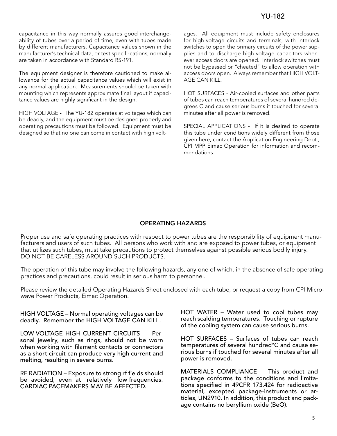#### YU-182

capacitance in this way normally assures good interchangeability of tubes over a period of time, even with tubes made by different manufacturers. Capacitance values shown in the manufacturer's technical data, or test specifi-cations, normally are taken in accordance with Standard RS-191.

The equipment designer is therefore cautioned to make allowance for the actual capacitance values which will exist in any normal application. Measurements should be taken with mounting which represents approximate final layout if capacitance values are highly significant in the design.

HIGH VOLTAGE - The YU-182 operates at voltages which can be deadly, and the equipment must be designed properly and operating precautions must be followed. Equipment must be designed so that no one can come in contact with high volt-

. switches to open the primary circuits of the power supages. All equipment must include safety enclosures for high-voltage circuits and terminals, with interlock plies and to discharge high-voltage capacitors whenever access doors are opened. Interlock switches must not be bypassed or "cheated" to allow operation with access doors open. Always remember that HIGH VOLT-AGE CAN KILL.

HOT SURFACES - Air-cooled surfaces and other parts of tubes can reach temperatures of several hundred degrees C and cause serious burns if touched for several minutes after all power is removed.

SPECIAL APPLICATIONS - If it is desired to operate this tube under conditions widely different from those given here, contact the Application Engineering Dept., CPI MPP Eimac Operation for information and recommendations.

#### OPERATING HAZARDS

Proper use and safe operating practices with respect to power tubes are the responsibility of equipment manufacturers and users of such tubes. All persons who work with and are exposed to power tubes, or equipment that utilizes such tubes, must take precautions to protect themselves against possible serious bodily injury. DO NOT BE CARELESS AROUND SUCH PRODUCTS.

The operation of this tube may involve the following hazards, any one of which, in the absence of safe operating practices and precautions, could result in serious harm to personnel.

Please review the detailed Operating Hazards Sheet enclosed with each tube, or request a copy from CPI Microwave Power Products, Eimac Operation.

HIGH VOLTAGE – Normal operating voltages can be deadly. Remember the HIGH VOLTAGE CAN KILL.

LOW-VOLTAGE HIGH-CURRENT CIRCUITS - Personal jewelry, such as rings, should not be worn when working with filament contacts or connectors as a short circuit can produce very high current and melting, resulting in severe burns.

RF RADIATION – Exposure to strong rf fields should be avoided, even at relatively low frequencies. CARDIAC PACEMAKERS MAY BE AFFECTED.

HOT WATER – Water used to cool tubes may reach scalding temperatures. Touching or rupture of the cooling system can cause serious burns.

HOT SURFACES – Surfaces of tubes can reach temperatures of several hundred°C and cause serious burns if touched for several minutes after all power is removed.

MATERIALS COMPLIANCE - This product and package conforms to the conditions and limitations specified in 49CFR 173.424 for radioactive material, excepted package-instruments or articles, UN2910. In addition, this product and package contains no beryllium oxide (BeO).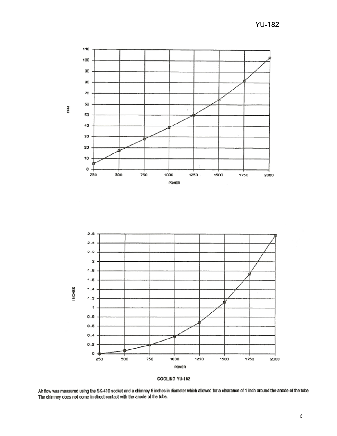YU-182



COOLING YU-182

Air flow was measured using the SK-410 socket and a chimney 6 inches in diameter which allowed for a clearance of 1 inch around the anode of the tube.<br>The chimney does not come in direct contact with the anode of the tube.